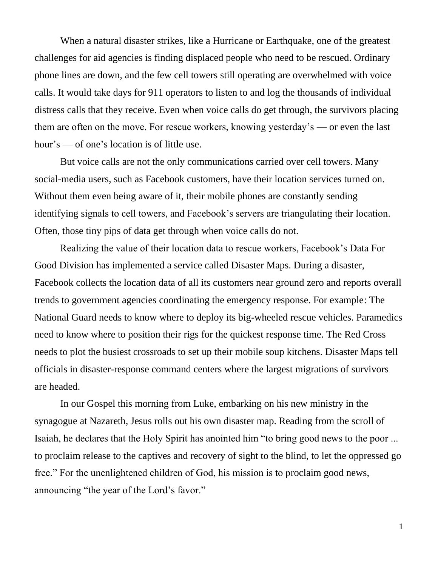When a natural disaster strikes, like a Hurricane or Earthquake, one of the greatest challenges for aid agencies is finding displaced people who need to be rescued. Ordinary phone lines are down, and the few cell towers still operating are overwhelmed with voice calls. It would take days for 911 operators to listen to and log the thousands of individual distress calls that they receive. Even when voice calls do get through, the survivors placing them are often on the move. For rescue workers, knowing yesterday's — or even the last hour's — of one's location is of little use.

But voice calls are not the only communications carried over cell towers. Many social-media users, such as Facebook customers, have their location services turned on. Without them even being aware of it, their mobile phones are constantly sending identifying signals to cell towers, and Facebook's servers are triangulating their location. Often, those tiny pips of data get through when voice calls do not.

Realizing the value of their location data to rescue workers, Facebook's Data For Good Division has implemented a service called Disaster Maps. During a disaster, Facebook collects the location data of all its customers near ground zero and reports overall trends to government agencies coordinating the emergency response. For example: The National Guard needs to know where to deploy its big-wheeled rescue vehicles. Paramedics need to know where to position their rigs for the quickest response time. The Red Cross needs to plot the busiest crossroads to set up their mobile soup kitchens. Disaster Maps tell officials in disaster-response command centers where the largest migrations of survivors are headed.

In our Gospel this morning from Luke, embarking on his new ministry in the synagogue at Nazareth, Jesus rolls out his own disaster map. Reading from the scroll of Isaiah, he declares that the Holy Spirit has anointed him "to bring good news to the poor ... to proclaim release to the captives and recovery of sight to the blind, to let the oppressed go free." For the unenlightened children of God, his mission is to proclaim good news, announcing "the year of the Lord's favor."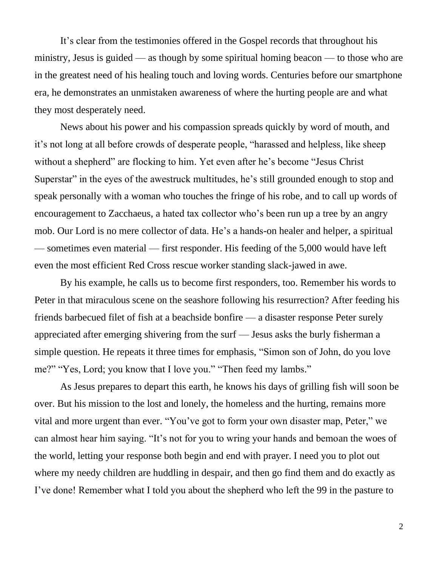It's clear from the testimonies offered in the Gospel records that throughout his ministry, Jesus is guided — as though by some spiritual homing beacon — to those who are in the greatest need of his healing touch and loving words. Centuries before our smartphone era, he demonstrates an unmistaken awareness of where the hurting people are and what they most desperately need.

News about his power and his compassion spreads quickly by word of mouth, and it's not long at all before crowds of desperate people, "harassed and helpless, like sheep without a shepherd" are flocking to him. Yet even after he's become "Jesus Christ Superstar" in the eyes of the awestruck multitudes, he's still grounded enough to stop and speak personally with a woman who touches the fringe of his robe, and to call up words of encouragement to Zacchaeus, a hated tax collector who's been run up a tree by an angry mob. Our Lord is no mere collector of data. He's a hands-on healer and helper, a spiritual — sometimes even material — first responder. His feeding of the 5,000 would have left even the most efficient Red Cross rescue worker standing slack-jawed in awe.

By his example, he calls us to become first responders, too. Remember his words to Peter in that miraculous scene on the seashore following his resurrection? After feeding his friends barbecued filet of fish at a beachside bonfire — a disaster response Peter surely appreciated after emerging shivering from the surf — Jesus asks the burly fisherman a simple question. He repeats it three times for emphasis, "Simon son of John, do you love me?" "Yes, Lord; you know that I love you." "Then feed my lambs."

As Jesus prepares to depart this earth, he knows his days of grilling fish will soon be over. But his mission to the lost and lonely, the homeless and the hurting, remains more vital and more urgent than ever. "You've got to form your own disaster map, Peter," we can almost hear him saying. "It's not for you to wring your hands and bemoan the woes of the world, letting your response both begin and end with prayer. I need you to plot out where my needy children are huddling in despair, and then go find them and do exactly as I've done! Remember what I told you about the shepherd who left the 99 in the pasture to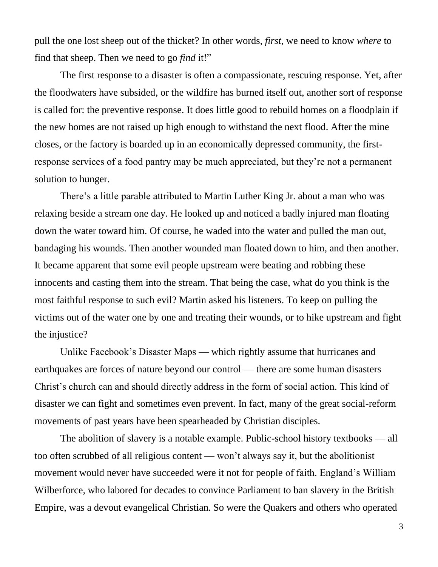pull the one lost sheep out of the thicket? In other words, *first*, we need to know *where* to find that sheep. Then we need to go *find* it!"

The first response to a disaster is often a compassionate, rescuing response. Yet, after the floodwaters have subsided, or the wildfire has burned itself out, another sort of response is called for: the preventive response. It does little good to rebuild homes on a floodplain if the new homes are not raised up high enough to withstand the next flood. After the mine closes, or the factory is boarded up in an economically depressed community, the firstresponse services of a food pantry may be much appreciated, but they're not a permanent solution to hunger.

There's a little parable attributed to Martin Luther King Jr. about a man who was relaxing beside a stream one day. He looked up and noticed a badly injured man floating down the water toward him. Of course, he waded into the water and pulled the man out, bandaging his wounds. Then another wounded man floated down to him, and then another. It became apparent that some evil people upstream were beating and robbing these innocents and casting them into the stream. That being the case, what do you think is the most faithful response to such evil? Martin asked his listeners. To keep on pulling the victims out of the water one by one and treating their wounds, or to hike upstream and fight the injustice?

Unlike Facebook's Disaster Maps — which rightly assume that hurricanes and earthquakes are forces of nature beyond our control — there are some human disasters Christ's church can and should directly address in the form of social action. This kind of disaster we can fight and sometimes even prevent. In fact, many of the great social-reform movements of past years have been spearheaded by Christian disciples.

The abolition of slavery is a notable example. Public-school history textbooks — all too often scrubbed of all religious content — won't always say it, but the abolitionist movement would never have succeeded were it not for people of faith. England's William Wilberforce, who labored for decades to convince Parliament to ban slavery in the British Empire, was a devout evangelical Christian. So were the Quakers and others who operated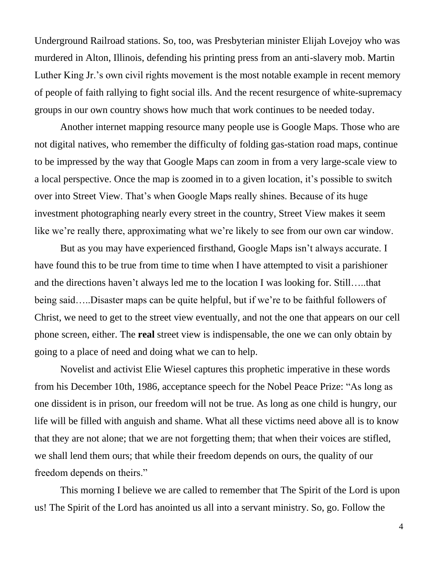Underground Railroad stations. So, too, was Presbyterian minister Elijah Lovejoy who was murdered in Alton, Illinois, defending his printing press from an anti-slavery mob. Martin Luther King Jr.'s own civil rights movement is the most notable example in recent memory of people of faith rallying to fight social ills. And the recent resurgence of white-supremacy groups in our own country shows how much that work continues to be needed today.

Another internet mapping resource many people use is Google Maps. Those who are not digital natives, who remember the difficulty of folding gas-station road maps, continue to be impressed by the way that Google Maps can zoom in from a very large-scale view to a local perspective. Once the map is zoomed in to a given location, it's possible to switch over into Street View. That's when Google Maps really shines. Because of its huge investment photographing nearly every street in the country, Street View makes it seem like we're really there, approximating what we're likely to see from our own car window.

But as you may have experienced firsthand, Google Maps isn't always accurate. I have found this to be true from time to time when I have attempted to visit a parishioner and the directions haven't always led me to the location I was looking for. Still…..that being said…..Disaster maps can be quite helpful, but if we're to be faithful followers of Christ, we need to get to the street view eventually, and not the one that appears on our cell phone screen, either. The **real** street view is indispensable, the one we can only obtain by going to a place of need and doing what we can to help.

Novelist and activist Elie Wiesel captures this prophetic imperative in these words from his December 10th, 1986, acceptance speech for the Nobel Peace Prize: "As long as one dissident is in prison, our freedom will not be true. As long as one child is hungry, our life will be filled with anguish and shame. What all these victims need above all is to know that they are not alone; that we are not forgetting them; that when their voices are stifled, we shall lend them ours; that while their freedom depends on ours, the quality of our freedom depends on theirs."

This morning I believe we are called to remember that The Spirit of the Lord is upon us! The Spirit of the Lord has anointed us all into a servant ministry. So, go. Follow the